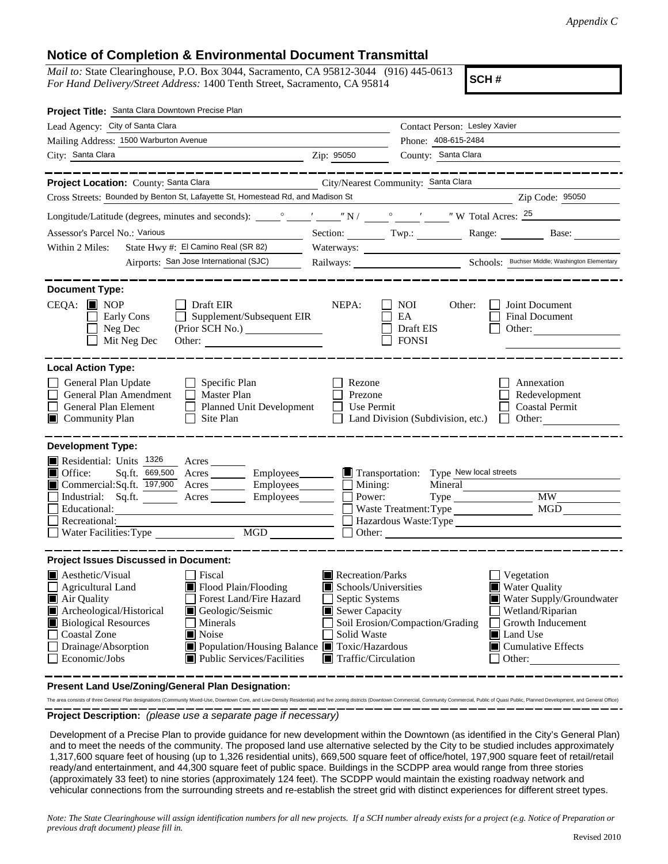## **Notice of Completion & Environmental Document Transmittal**

*Mail to:* State Clearinghouse, P.O. Box 3044, Sacramento, CA 95812-3044 (916) 445-0613 *For Hand Delivery/Street Address:* 1400 Tenth Street, Sacramento, CA 95814

**SCH #**

| Project Title: Santa Clara Downtown Precise Plan                                                                                                                                                                                                                                                                                                                                                                                        |                                                                                                                                                                  |                                                                     |                                                                                                                                                                                          |  |  |
|-----------------------------------------------------------------------------------------------------------------------------------------------------------------------------------------------------------------------------------------------------------------------------------------------------------------------------------------------------------------------------------------------------------------------------------------|------------------------------------------------------------------------------------------------------------------------------------------------------------------|---------------------------------------------------------------------|------------------------------------------------------------------------------------------------------------------------------------------------------------------------------------------|--|--|
| Lead Agency: City of Santa Clara                                                                                                                                                                                                                                                                                                                                                                                                        |                                                                                                                                                                  | Contact Person: Lesley Xavier                                       |                                                                                                                                                                                          |  |  |
| Mailing Address: 1500 Warburton Avenue                                                                                                                                                                                                                                                                                                                                                                                                  | Phone: 408-615-2484                                                                                                                                              |                                                                     |                                                                                                                                                                                          |  |  |
| City: Santa Clara<br><u>Zip: 95050</u>                                                                                                                                                                                                                                                                                                                                                                                                  |                                                                                                                                                                  | County: Santa Clara                                                 |                                                                                                                                                                                          |  |  |
| Project Location: County: Santa Clara                                                                                                                                                                                                                                                                                                                                                                                                   |                                                                                                                                                                  | City/Nearest Community: Santa Clara                                 |                                                                                                                                                                                          |  |  |
| Cross Streets: Bounded by Benton St, Lafayette St, Homestead Rd, and Madison St                                                                                                                                                                                                                                                                                                                                                         |                                                                                                                                                                  |                                                                     | Example 21 Zip Code: 95050                                                                                                                                                               |  |  |
|                                                                                                                                                                                                                                                                                                                                                                                                                                         |                                                                                                                                                                  |                                                                     |                                                                                                                                                                                          |  |  |
| Assessor's Parcel No.: Various                                                                                                                                                                                                                                                                                                                                                                                                          |                                                                                                                                                                  |                                                                     | Section: Twp.: Range: Base: Base:                                                                                                                                                        |  |  |
| State Hwy #: El Camino Real (SR 82)<br>Within 2 Miles:                                                                                                                                                                                                                                                                                                                                                                                  | Waterways:                                                                                                                                                       |                                                                     |                                                                                                                                                                                          |  |  |
| Airports: San Jose International (SJC)                                                                                                                                                                                                                                                                                                                                                                                                  |                                                                                                                                                                  |                                                                     |                                                                                                                                                                                          |  |  |
|                                                                                                                                                                                                                                                                                                                                                                                                                                         |                                                                                                                                                                  |                                                                     |                                                                                                                                                                                          |  |  |
| <b>Document Type:</b><br>$CEQA: \Box \text{NOP}$<br>Draft EIR<br>$\Box$ Supplement/Subsequent EIR<br><b>Early Cons</b><br>$\Box$ Neg Dec<br>$\Box$ Mit Neg Dec                                                                                                                                                                                                                                                                          | NEPA:                                                                                                                                                            | $\Box$ NOI<br>Other:<br>I EA<br>Draft EIS<br>$\Box$ FONSI           | Joint Document<br><b>Final Document</b><br>Other:                                                                                                                                        |  |  |
| <b>Local Action Type:</b>                                                                                                                                                                                                                                                                                                                                                                                                               |                                                                                                                                                                  |                                                                     |                                                                                                                                                                                          |  |  |
| General Plan Update<br>$\Box$ Specific Plan<br>$\Box$<br>General Plan Amendment<br>$\Box$ Master Plan<br>$\Box$<br>General Plan Element<br>Planned Unit Development<br>Community Plan<br>$\Box$ Site Plan                                                                                                                                                                                                                               | Rezone<br>Prezone<br>$\Box$ Use Permit                                                                                                                           | $\Box$ Land Division (Subdivision, etc.)                            | Annexation<br>Redevelopment<br>$\Box$ Coastal Permit<br>$\Box$ Other:                                                                                                                    |  |  |
| <b>Development Type:</b><br>Residential: Units $1326$<br>Acres<br>Sq.ft. 669,500 Acres Employees Transportation: Type New local streets<br>$\blacksquare$ Office:<br>Commercial:Sq.ft. 197,900 Acres Employees Mining:<br>Industrial: Sq.ft. Acres Employees<br>$\mathbf{L}$<br>Educational:<br>Recreational:                                                                                                                           | Power:                                                                                                                                                           | Mineral<br>Waste Treatment: Type<br>Hazardous Waste: Type<br>Other: | MGD                                                                                                                                                                                      |  |  |
| <b>Project Issues Discussed in Document:</b>                                                                                                                                                                                                                                                                                                                                                                                            |                                                                                                                                                                  |                                                                     |                                                                                                                                                                                          |  |  |
| <b>A</b> esthetic/Visual<br>Fiscal<br>Flood Plain/Flooding<br>Agricultural Land<br>Forest Land/Fire Hazard<br>$\blacksquare$ Air Quality<br>Archeological/Historical<br>$\Box$ Geologic/Seismic<br><b>Biological Resources</b><br><b>Minerals</b><br><b>Coastal Zone</b><br>$\blacksquare$ Noise<br>$\Box$<br>Population/Housing Balance Toxic/Hazardous<br>Drainage/Absorption<br>$\Box$ Economic/Jobs<br>■ Public Services/Facilities | Recreation/Parks<br>Schools/Universities<br>Septic Systems<br>$\mathsf{L}$<br>$\blacksquare$ Sewer Capacity<br>Solid Waste<br>$\blacksquare$ Traffic/Circulation | Soil Erosion/Compaction/Grading                                     | $\Box$ Vegetation<br>Water Quality<br>Water Supply/Groundwater<br>Wetland/Riparian<br>Growth Inducement<br>$\blacksquare$ Land Use<br>$\blacksquare$ Cumulative Effects<br>$\Box$ Other: |  |  |

**Present Land Use/Zoning/General Plan Designation:**

**Project Description:** *(please use a separate page if necessary)* The area consists of three General Plan designations (Community Mixed-Use, Downtown Core, and Low-Density Residential) and five zoning districts (Downtown Commercial, Community Commercial, Public of Quasi Public, Planned D

 Development of a Precise Plan to provide guidance for new development within the Downtown (as identified in the City's General Plan) and to meet the needs of the community. The proposed land use alternative selected by the City to be studied includes approximately 1,317,600 square feet of housing (up to 1,326 residential units), 669,500 square feet of office/hotel, 197,900 square feet of retail/retail ready/and entertainment, and 44,300 square feet of public space. Buildings in the SCDPP area would range from three stories (approximately 33 feet) to nine stories (approximately 124 feet). The SCDPP would maintain the existing roadway network and vehicular connections from the surrounding streets and re-establish the street grid with distinct experiences for different street types.

*Note: The State Clearinghouse will assign identification numbers for all new projects. If a SCH number already exists for a project (e.g. Notice of Preparation or previous draft document) please fill in.*